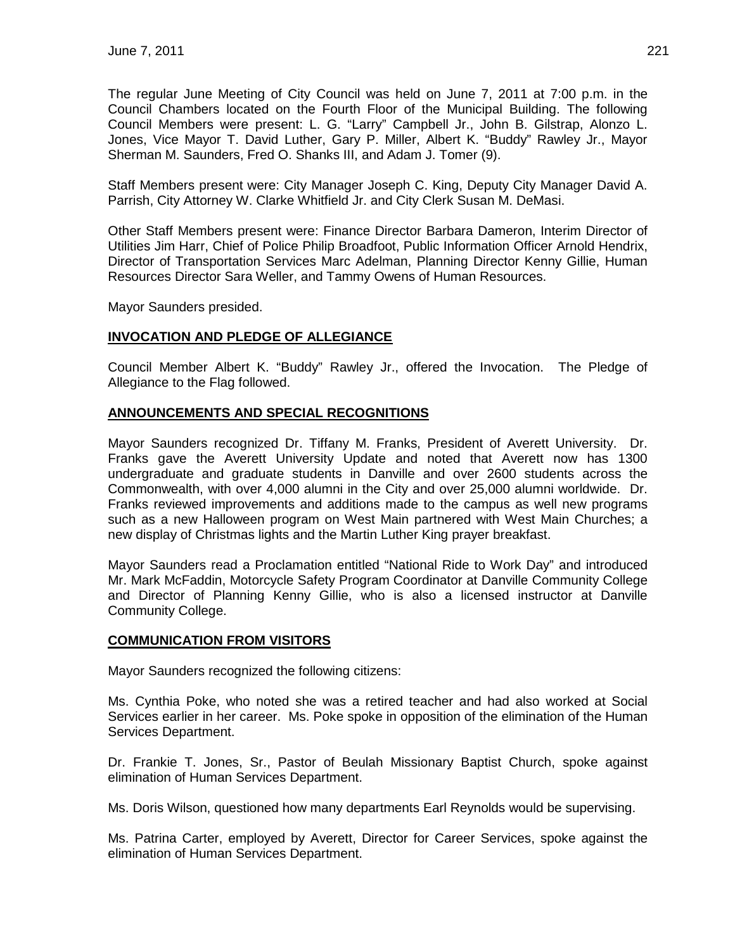The regular June Meeting of City Council was held on June 7, 2011 at 7:00 p.m. in the Council Chambers located on the Fourth Floor of the Municipal Building. The following Council Members were present: L. G. "Larry" Campbell Jr., John B. Gilstrap, Alonzo L. Jones, Vice Mayor T. David Luther, Gary P. Miller, Albert K. "Buddy" Rawley Jr., Mayor Sherman M. Saunders, Fred O. Shanks III, and Adam J. Tomer (9).

Staff Members present were: City Manager Joseph C. King, Deputy City Manager David A. Parrish, City Attorney W. Clarke Whitfield Jr. and City Clerk Susan M. DeMasi.

Other Staff Members present were: Finance Director Barbara Dameron, Interim Director of Utilities Jim Harr, Chief of Police Philip Broadfoot, Public Information Officer Arnold Hendrix, Director of Transportation Services Marc Adelman, Planning Director Kenny Gillie, Human Resources Director Sara Weller, and Tammy Owens of Human Resources.

Mayor Saunders presided.

## **INVOCATION AND PLEDGE OF ALLEGIANCE**

Council Member Albert K. "Buddy" Rawley Jr., offered the Invocation. The Pledge of Allegiance to the Flag followed.

## **ANNOUNCEMENTS AND SPECIAL RECOGNITIONS**

Mayor Saunders recognized Dr. Tiffany M. Franks, President of Averett University. Dr. Franks gave the Averett University Update and noted that Averett now has 1300 undergraduate and graduate students in Danville and over 2600 students across the Commonwealth, with over 4,000 alumni in the City and over 25,000 alumni worldwide. Dr. Franks reviewed improvements and additions made to the campus as well new programs such as a new Halloween program on West Main partnered with West Main Churches; a new display of Christmas lights and the Martin Luther King prayer breakfast.

Mayor Saunders read a Proclamation entitled "National Ride to Work Day" and introduced Mr. Mark McFaddin, Motorcycle Safety Program Coordinator at Danville Community College and Director of Planning Kenny Gillie, who is also a licensed instructor at Danville Community College.

## **COMMUNICATION FROM VISITORS**

Mayor Saunders recognized the following citizens:

Ms. Cynthia Poke, who noted she was a retired teacher and had also worked at Social Services earlier in her career. Ms. Poke spoke in opposition of the elimination of the Human Services Department.

Dr. Frankie T. Jones, Sr., Pastor of Beulah Missionary Baptist Church, spoke against elimination of Human Services Department.

Ms. Doris Wilson, questioned how many departments Earl Reynolds would be supervising.

Ms. Patrina Carter, employed by Averett, Director for Career Services, spoke against the elimination of Human Services Department.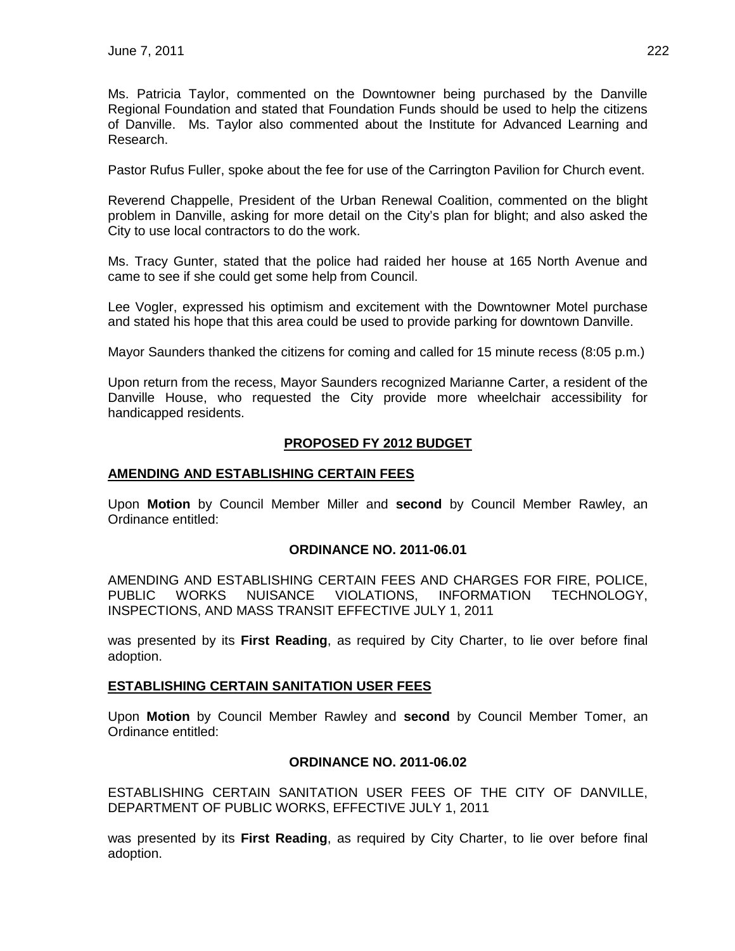Ms. Patricia Taylor, commented on the Downtowner being purchased by the Danville Regional Foundation and stated that Foundation Funds should be used to help the citizens of Danville. Ms. Taylor also commented about the Institute for Advanced Learning and Research.

Pastor Rufus Fuller, spoke about the fee for use of the Carrington Pavilion for Church event.

Reverend Chappelle, President of the Urban Renewal Coalition, commented on the blight problem in Danville, asking for more detail on the City's plan for blight; and also asked the City to use local contractors to do the work.

Ms. Tracy Gunter, stated that the police had raided her house at 165 North Avenue and came to see if she could get some help from Council.

Lee Vogler, expressed his optimism and excitement with the Downtowner Motel purchase and stated his hope that this area could be used to provide parking for downtown Danville.

Mayor Saunders thanked the citizens for coming and called for 15 minute recess (8:05 p.m.)

Upon return from the recess, Mayor Saunders recognized Marianne Carter, a resident of the Danville House, who requested the City provide more wheelchair accessibility for handicapped residents.

## **PROPOSED FY 2012 BUDGET**

#### **AMENDING AND ESTABLISHING CERTAIN FEES**

Upon **Motion** by Council Member Miller and **second** by Council Member Rawley, an Ordinance entitled:

#### **ORDINANCE NO. 2011-06.01**

AMENDING AND ESTABLISHING CERTAIN FEES AND CHARGES FOR FIRE, POLICE, PUBLIC WORKS NUISANCE VIOLATIONS, INFORMATION TECHNOLOGY, INSPECTIONS, AND MASS TRANSIT EFFECTIVE JULY 1, 2011

was presented by its **First Reading**, as required by City Charter, to lie over before final adoption.

#### **ESTABLISHING CERTAIN SANITATION USER FEES**

Upon **Motion** by Council Member Rawley and **second** by Council Member Tomer, an Ordinance entitled:

#### **ORDINANCE NO. 2011-06.02**

ESTABLISHING CERTAIN SANITATION USER FEES OF THE CITY OF DANVILLE, DEPARTMENT OF PUBLIC WORKS, EFFECTIVE JULY 1, 2011

was presented by its **First Reading**, as required by City Charter, to lie over before final adoption.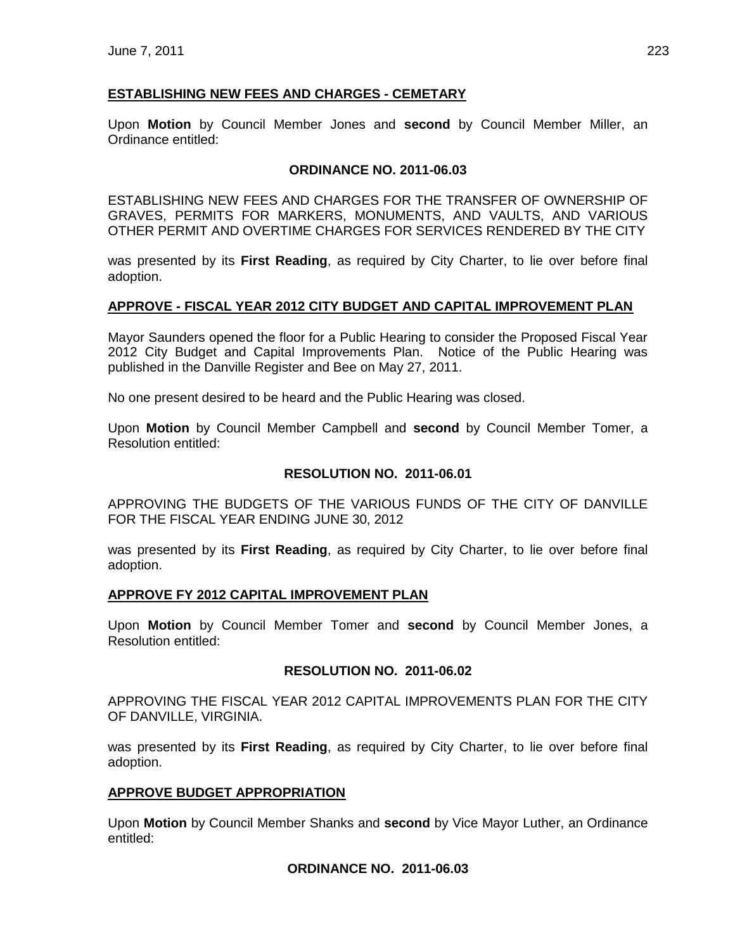# **ESTABLISHING NEW FEES AND CHARGES - CEMETARY**

Upon **Motion** by Council Member Jones and **second** by Council Member Miller, an Ordinance entitled:

## **ORDINANCE NO. 2011-06.03**

ESTABLISHING NEW FEES AND CHARGES FOR THE TRANSFER OF OWNERSHIP OF GRAVES, PERMITS FOR MARKERS, MONUMENTS, AND VAULTS, AND VARIOUS OTHER PERMIT AND OVERTIME CHARGES FOR SERVICES RENDERED BY THE CITY

was presented by its **First Reading**, as required by City Charter, to lie over before final adoption.

## **APPROVE - FISCAL YEAR 2012 CITY BUDGET AND CAPITAL IMPROVEMENT PLAN**

Mayor Saunders opened the floor for a Public Hearing to consider the Proposed Fiscal Year 2012 City Budget and Capital Improvements Plan. Notice of the Public Hearing was published in the Danville Register and Bee on May 27, 2011.

No one present desired to be heard and the Public Hearing was closed.

Upon **Motion** by Council Member Campbell and **second** by Council Member Tomer, a Resolution entitled:

## **RESOLUTION NO. 2011-06.01**

APPROVING THE BUDGETS OF THE VARIOUS FUNDS OF THE CITY OF DANVILLE FOR THE FISCAL YEAR ENDING JUNE 30, 2012

was presented by its **First Reading**, as required by City Charter, to lie over before final adoption.

## **APPROVE FY 2012 CAPITAL IMPROVEMENT PLAN**

Upon **Motion** by Council Member Tomer and **second** by Council Member Jones, a Resolution entitled:

## **RESOLUTION NO. 2011-06.02**

APPROVING THE FISCAL YEAR 2012 CAPITAL IMPROVEMENTS PLAN FOR THE CITY OF DANVILLE, VIRGINIA.

was presented by its **First Reading**, as required by City Charter, to lie over before final adoption.

## **APPROVE BUDGET APPROPRIATION**

Upon **Motion** by Council Member Shanks and **second** by Vice Mayor Luther, an Ordinance entitled:

## **ORDINANCE NO. 2011-06.03**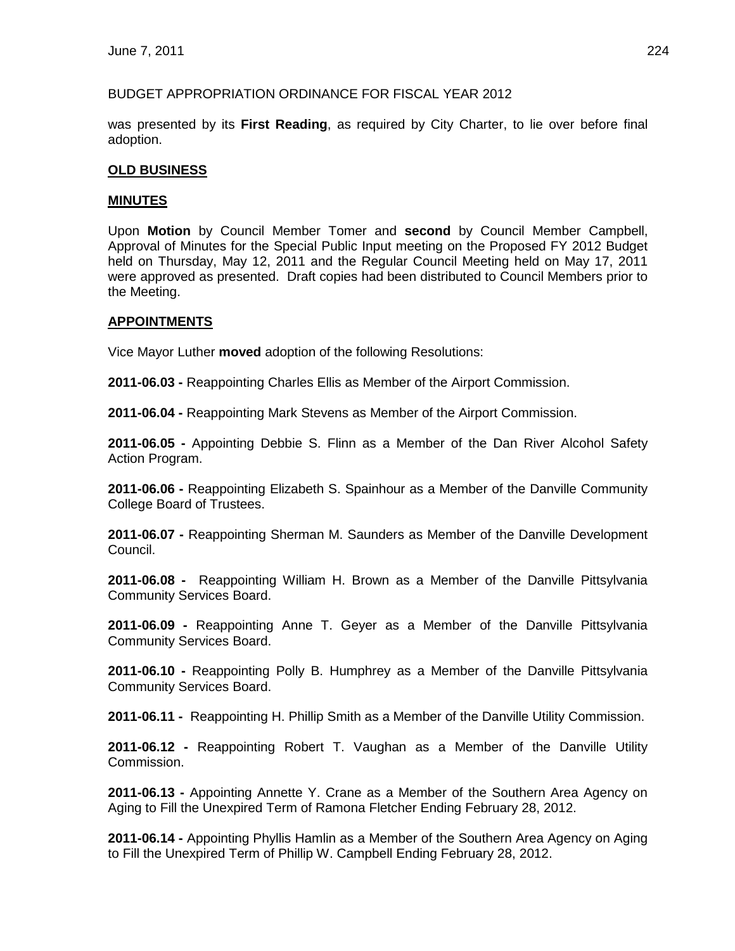## BUDGET APPROPRIATION ORDINANCE FOR FISCAL YEAR 2012

was presented by its **First Reading**, as required by City Charter, to lie over before final adoption.

# **OLD BUSINESS**

## **MINUTES**

Upon **Motion** by Council Member Tomer and **second** by Council Member Campbell, Approval of Minutes for the Special Public Input meeting on the Proposed FY 2012 Budget held on Thursday, May 12, 2011 and the Regular Council Meeting held on May 17, 2011 were approved as presented. Draft copies had been distributed to Council Members prior to the Meeting.

## **APPOINTMENTS**

Vice Mayor Luther **moved** adoption of the following Resolutions:

**2011-06.03 -** Reappointing Charles Ellis as Member of the Airport Commission.

**2011-06.04 -** Reappointing Mark Stevens as Member of the Airport Commission.

**2011-06.05 -** Appointing Debbie S. Flinn as a Member of the Dan River Alcohol Safety Action Program.

**2011-06.06 -** Reappointing Elizabeth S. Spainhour as a Member of the Danville Community College Board of Trustees.

**2011-06.07 -** Reappointing Sherman M. Saunders as Member of the Danville Development Council.

**2011-06.08 -** Reappointing William H. Brown as a Member of the Danville Pittsylvania Community Services Board.

**2011-06.09 -** Reappointing Anne T. Geyer as a Member of the Danville Pittsylvania Community Services Board.

**2011-06.10 -** Reappointing Polly B. Humphrey as a Member of the Danville Pittsylvania Community Services Board.

**2011-06.11 -** Reappointing H. Phillip Smith as a Member of the Danville Utility Commission.

**2011-06.12 -** Reappointing Robert T. Vaughan as a Member of the Danville Utility Commission.

**2011-06.13 -** Appointing Annette Y. Crane as a Member of the Southern Area Agency on Aging to Fill the Unexpired Term of Ramona Fletcher Ending February 28, 2012.

**2011-06.14 -** Appointing Phyllis Hamlin as a Member of the Southern Area Agency on Aging to Fill the Unexpired Term of Phillip W. Campbell Ending February 28, 2012.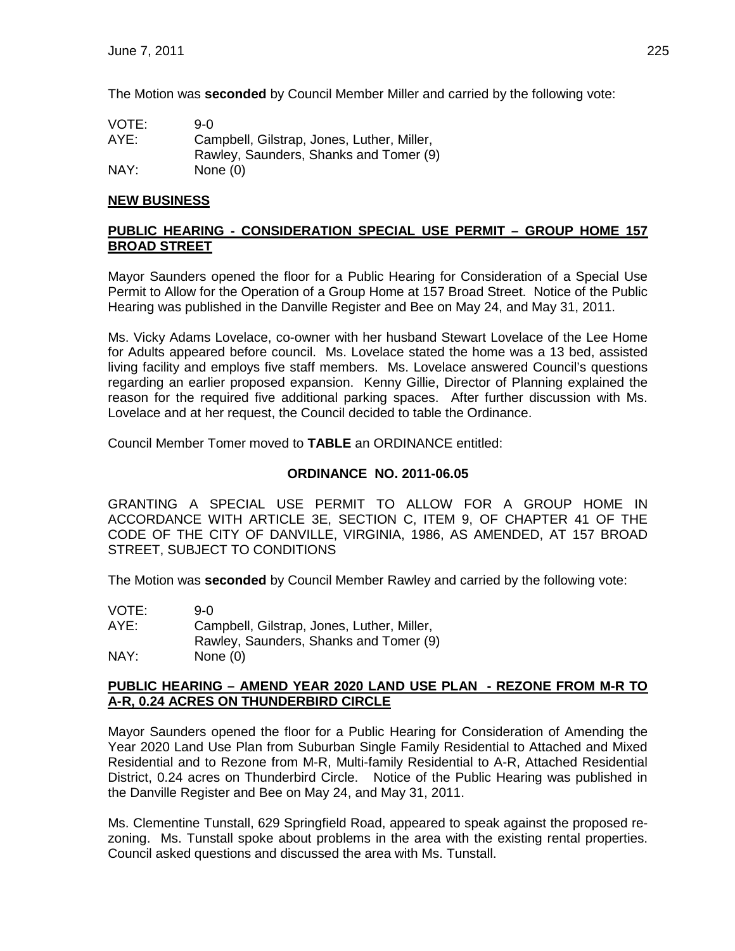The Motion was **seconded** by Council Member Miller and carried by the following vote:

| VOTE: | 9-0.                                       |
|-------|--------------------------------------------|
| AYE:  | Campbell, Gilstrap, Jones, Luther, Miller, |
|       | Rawley, Saunders, Shanks and Tomer (9)     |
| NAY:  | None $(0)$                                 |

# **NEW BUSINESS**

## **PUBLIC HEARING - CONSIDERATION SPECIAL USE PERMIT – GROUP HOME 157 BROAD STREET**

Mayor Saunders opened the floor for a Public Hearing for Consideration of a Special Use Permit to Allow for the Operation of a Group Home at 157 Broad Street. Notice of the Public Hearing was published in the Danville Register and Bee on May 24, and May 31, 2011.

Ms. Vicky Adams Lovelace, co-owner with her husband Stewart Lovelace of the Lee Home for Adults appeared before council. Ms. Lovelace stated the home was a 13 bed, assisted living facility and employs five staff members. Ms. Lovelace answered Council's questions regarding an earlier proposed expansion. Kenny Gillie, Director of Planning explained the reason for the required five additional parking spaces. After further discussion with Ms. Lovelace and at her request, the Council decided to table the Ordinance.

Council Member Tomer moved to **TABLE** an ORDINANCE entitled:

# **ORDINANCE NO. 2011-06.05**

GRANTING A SPECIAL USE PERMIT TO ALLOW FOR A GROUP HOME IN ACCORDANCE WITH ARTICLE 3E, SECTION C, ITEM 9, OF CHAPTER 41 OF THE CODE OF THE CITY OF DANVILLE, VIRGINIA, 1986, AS AMENDED, AT 157 BROAD STREET, SUBJECT TO CONDITIONS

The Motion was **seconded** by Council Member Rawley and carried by the following vote:

| VOTE: | 9-0.                                       |
|-------|--------------------------------------------|
| AYE:  | Campbell, Gilstrap, Jones, Luther, Miller, |
|       | Rawley, Saunders, Shanks and Tomer (9)     |
| NAY:  | None $(0)$                                 |

## **PUBLIC HEARING – AMEND YEAR 2020 LAND USE PLAN - REZONE FROM M-R TO A-R, 0.24 ACRES ON THUNDERBIRD CIRCLE**

Mayor Saunders opened the floor for a Public Hearing for Consideration of Amending the Year 2020 Land Use Plan from Suburban Single Family Residential to Attached and Mixed Residential and to Rezone from M-R, Multi-family Residential to A-R, Attached Residential District, 0.24 acres on Thunderbird Circle. Notice of the Public Hearing was published in the Danville Register and Bee on May 24, and May 31, 2011.

Ms. Clementine Tunstall, 629 Springfield Road, appeared to speak against the proposed rezoning. Ms. Tunstall spoke about problems in the area with the existing rental properties. Council asked questions and discussed the area with Ms. Tunstall.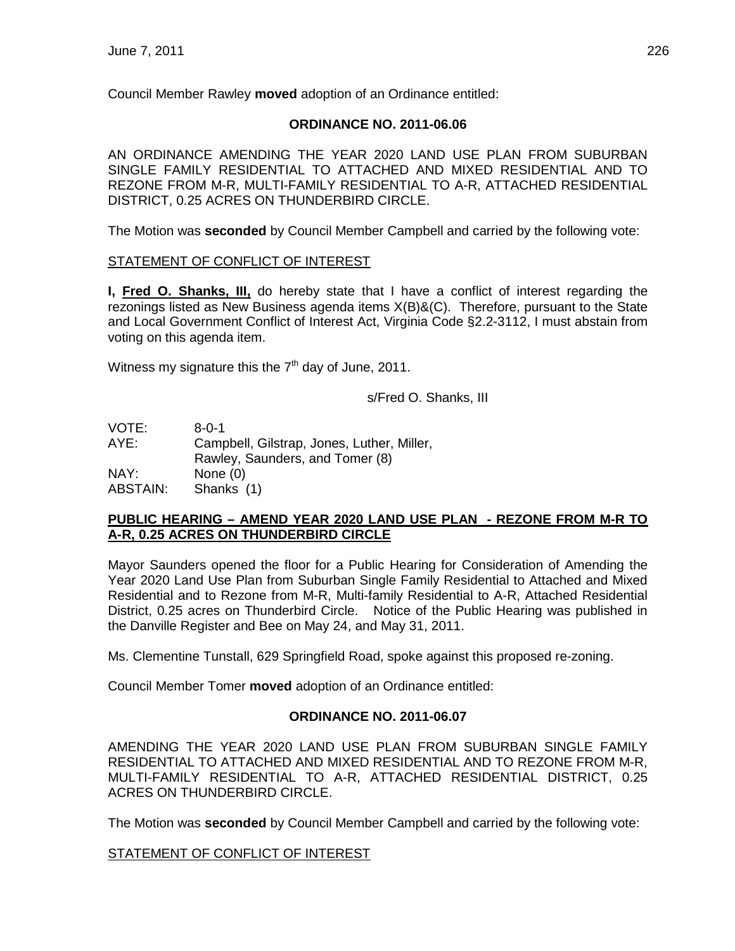Council Member Rawley **moved** adoption of an Ordinance entitled:

## **ORDINANCE NO. 2011-06.06**

AN ORDINANCE AMENDING THE YEAR 2020 LAND USE PLAN FROM SUBURBAN SINGLE FAMILY RESIDENTIAL TO ATTACHED AND MIXED RESIDENTIAL AND TO REZONE FROM M-R, MULTI-FAMILY RESIDENTIAL TO A-R, ATTACHED RESIDENTIAL DISTRICT, 0.25 ACRES ON THUNDERBIRD CIRCLE.

The Motion was **seconded** by Council Member Campbell and carried by the following vote:

## STATEMENT OF CONFLICT OF INTEREST

**I, Fred O. Shanks, III,** do hereby state that I have a conflict of interest regarding the rezonings listed as New Business agenda items X(B)&(C). Therefore, pursuant to the State and Local Government Conflict of Interest Act, Virginia Code §2.2-3112, I must abstain from voting on this agenda item.

Witness my signature this the  $7<sup>th</sup>$  day of June, 2011.

s/Fred O. Shanks, III

| VOTE:           | $8 - 0 - 1$                                |
|-----------------|--------------------------------------------|
| AYE:            | Campbell, Gilstrap, Jones, Luther, Miller, |
|                 | Rawley, Saunders, and Tomer (8)            |
| NAY:            | None $(0)$                                 |
| <b>ABSTAIN:</b> | Shanks (1)                                 |

## **PUBLIC HEARING – AMEND YEAR 2020 LAND USE PLAN - REZONE FROM M-R TO A-R, 0.25 ACRES ON THUNDERBIRD CIRCLE**

Mayor Saunders opened the floor for a Public Hearing for Consideration of Amending the Year 2020 Land Use Plan from Suburban Single Family Residential to Attached and Mixed Residential and to Rezone from M-R, Multi-family Residential to A-R, Attached Residential District, 0.25 acres on Thunderbird Circle. Notice of the Public Hearing was published in the Danville Register and Bee on May 24, and May 31, 2011.

Ms. Clementine Tunstall, 629 Springfield Road, spoke against this proposed re-zoning.

Council Member Tomer **moved** adoption of an Ordinance entitled:

# **ORDINANCE NO. 2011-06.07**

AMENDING THE YEAR 2020 LAND USE PLAN FROM SUBURBAN SINGLE FAMILY RESIDENTIAL TO ATTACHED AND MIXED RESIDENTIAL AND TO REZONE FROM M-R, MULTI-FAMILY RESIDENTIAL TO A-R, ATTACHED RESIDENTIAL DISTRICT, 0.25 ACRES ON THUNDERBIRD CIRCLE.

The Motion was **seconded** by Council Member Campbell and carried by the following vote:

## STATEMENT OF CONFLICT OF INTEREST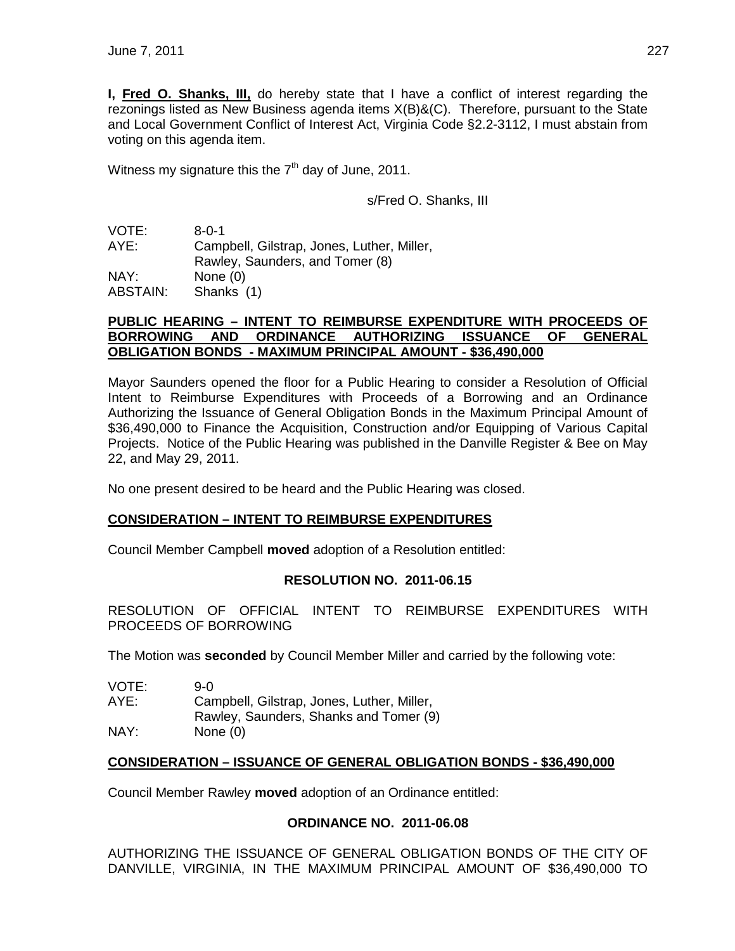**I, Fred O. Shanks, III,** do hereby state that I have a conflict of interest regarding the rezonings listed as New Business agenda items X(B)&(C). Therefore, pursuant to the State and Local Government Conflict of Interest Act, Virginia Code §2.2-3112, I must abstain from voting on this agenda item.

Witness my signature this the  $7<sup>th</sup>$  day of June, 2011.

s/Fred O. Shanks, III

VOTE: 8-0-1 AYE: Campbell, Gilstrap, Jones, Luther, Miller, Rawley, Saunders, and Tomer (8) NAY: None (0) ABSTAIN: Shanks (1)

#### **PUBLIC HEARING – INTENT TO REIMBURSE EXPENDITURE WITH PROCEEDS OF BORROWING AND ORDINANCE AUTHORIZING ISSUANCE OF GENERAL OBLIGATION BONDS - MAXIMUM PRINCIPAL AMOUNT - \$36,490,000**

Mayor Saunders opened the floor for a Public Hearing to consider a Resolution of Official Intent to Reimburse Expenditures with Proceeds of a Borrowing and an Ordinance Authorizing the Issuance of General Obligation Bonds in the Maximum Principal Amount of \$36,490,000 to Finance the Acquisition, Construction and/or Equipping of Various Capital Projects. Notice of the Public Hearing was published in the Danville Register & Bee on May 22, and May 29, 2011.

No one present desired to be heard and the Public Hearing was closed.

# **CONSIDERATION – INTENT TO REIMBURSE EXPENDITURES**

Council Member Campbell **moved** adoption of a Resolution entitled:

## **RESOLUTION NO. 2011-06.15**

RESOLUTION OF OFFICIAL INTENT TO REIMBURSE EXPENDITURES WITH PROCEEDS OF BORROWING

The Motion was **seconded** by Council Member Miller and carried by the following vote:

| VOTE: | 9-0                                        |
|-------|--------------------------------------------|
| AYE:  | Campbell, Gilstrap, Jones, Luther, Miller, |
|       | Rawley, Saunders, Shanks and Tomer (9)     |
| NAY:  | None $(0)$                                 |

## **CONSIDERATION – ISSUANCE OF GENERAL OBLIGATION BONDS - \$36,490,000**

Council Member Rawley **moved** adoption of an Ordinance entitled:

## **ORDINANCE NO. 2011-06.08**

AUTHORIZING THE ISSUANCE OF GENERAL OBLIGATION BONDS OF THE CITY OF DANVILLE, VIRGINIA, IN THE MAXIMUM PRINCIPAL AMOUNT OF \$36,490,000 TO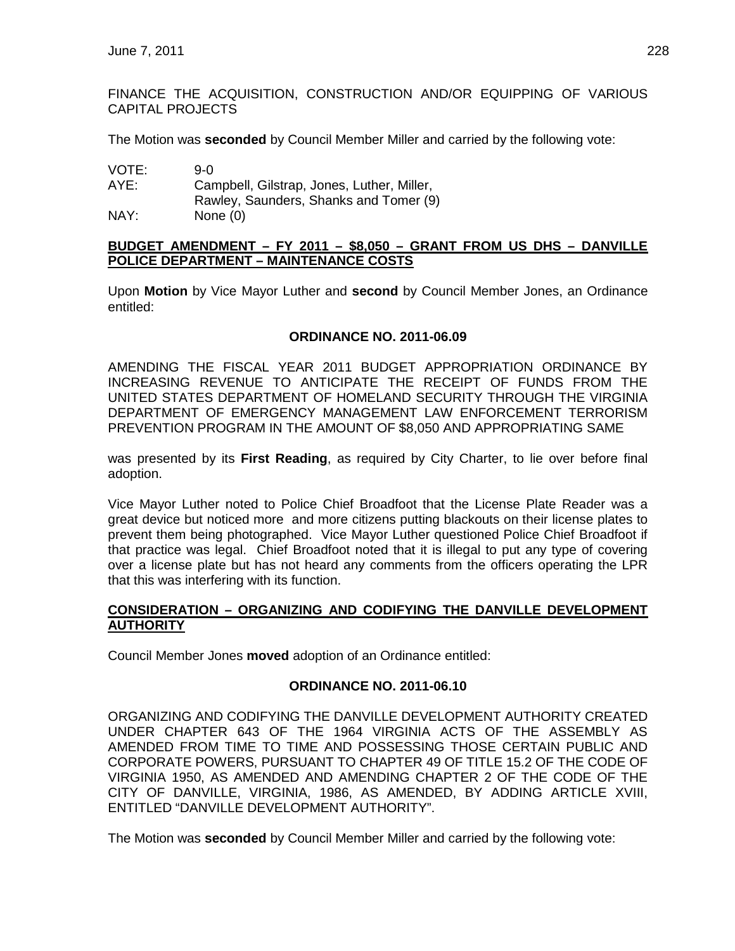FINANCE THE ACQUISITION, CONSTRUCTION AND/OR EQUIPPING OF VARIOUS CAPITAL PROJECTS

The Motion was **seconded** by Council Member Miller and carried by the following vote:

| VOTE: | 9-0.                                       |
|-------|--------------------------------------------|
| AYE:  | Campbell, Gilstrap, Jones, Luther, Miller, |
|       | Rawley, Saunders, Shanks and Tomer (9)     |
| NAY:  | None $(0)$                                 |

#### **BUDGET AMENDMENT – FY 2011 – \$8,050 – GRANT FROM US DHS – DANVILLE POLICE DEPARTMENT – MAINTENANCE COSTS**

Upon **Motion** by Vice Mayor Luther and **second** by Council Member Jones, an Ordinance entitled:

#### **ORDINANCE NO. 2011-06.09**

AMENDING THE FISCAL YEAR 2011 BUDGET APPROPRIATION ORDINANCE BY INCREASING REVENUE TO ANTICIPATE THE RECEIPT OF FUNDS FROM THE UNITED STATES DEPARTMENT OF HOMELAND SECURITY THROUGH THE VIRGINIA DEPARTMENT OF EMERGENCY MANAGEMENT LAW ENFORCEMENT TERRORISM PREVENTION PROGRAM IN THE AMOUNT OF \$8,050 AND APPROPRIATING SAME

was presented by its **First Reading**, as required by City Charter, to lie over before final adoption.

Vice Mayor Luther noted to Police Chief Broadfoot that the License Plate Reader was a great device but noticed more and more citizens putting blackouts on their license plates to prevent them being photographed. Vice Mayor Luther questioned Police Chief Broadfoot if that practice was legal. Chief Broadfoot noted that it is illegal to put any type of covering over a license plate but has not heard any comments from the officers operating the LPR that this was interfering with its function.

#### **CONSIDERATION – ORGANIZING AND CODIFYING THE DANVILLE DEVELOPMENT AUTHORITY**

Council Member Jones **moved** adoption of an Ordinance entitled:

#### **ORDINANCE NO. 2011-06.10**

ORGANIZING AND CODIFYING THE DANVILLE DEVELOPMENT AUTHORITY CREATED UNDER CHAPTER 643 OF THE 1964 VIRGINIA ACTS OF THE ASSEMBLY AS AMENDED FROM TIME TO TIME AND POSSESSING THOSE CERTAIN PUBLIC AND CORPORATE POWERS, PURSUANT TO CHAPTER 49 OF TITLE 15.2 OF THE CODE OF VIRGINIA 1950, AS AMENDED AND AMENDING CHAPTER 2 OF THE CODE OF THE CITY OF DANVILLE, VIRGINIA, 1986, AS AMENDED, BY ADDING ARTICLE XVIII, ENTITLED "DANVILLE DEVELOPMENT AUTHORITY".

The Motion was **seconded** by Council Member Miller and carried by the following vote: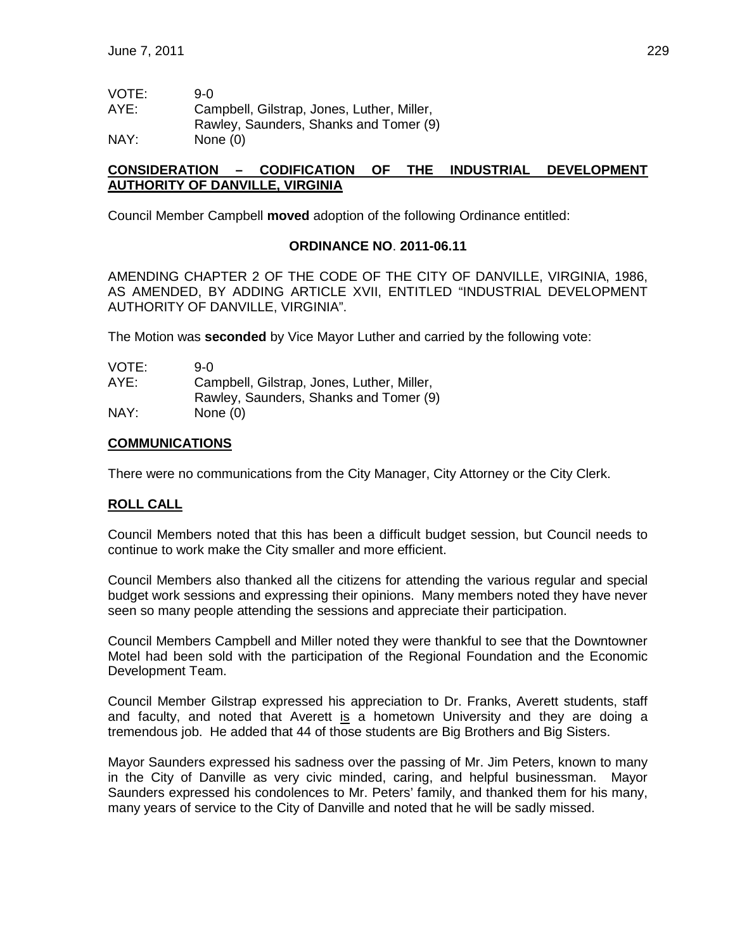| VOTE: | 9-0.                                       |
|-------|--------------------------------------------|
| AYE:  | Campbell, Gilstrap, Jones, Luther, Miller, |
|       | Rawley, Saunders, Shanks and Tomer (9)     |
| NAY:  | None $(0)$                                 |

## **CONSIDERATION – CODIFICATION OF THE INDUSTRIAL DEVELOPMENT AUTHORITY OF DANVILLE, VIRGINIA**

Council Member Campbell **moved** adoption of the following Ordinance entitled:

#### **ORDINANCE NO**. **2011-06.11**

AMENDING CHAPTER 2 OF THE CODE OF THE CITY OF DANVILLE, VIRGINIA, 1986, AS AMENDED, BY ADDING ARTICLE XVII, ENTITLED "INDUSTRIAL DEVELOPMENT AUTHORITY OF DANVILLE, VIRGINIA".

The Motion was **seconded** by Vice Mayor Luther and carried by the following vote:

| VOTE: | 9-0.                                       |
|-------|--------------------------------------------|
| AYE:  | Campbell, Gilstrap, Jones, Luther, Miller, |
|       | Rawley, Saunders, Shanks and Tomer (9)     |
| NAY:  | None $(0)$                                 |

#### **COMMUNICATIONS**

There were no communications from the City Manager, City Attorney or the City Clerk.

## **ROLL CALL**

Council Members noted that this has been a difficult budget session, but Council needs to continue to work make the City smaller and more efficient.

Council Members also thanked all the citizens for attending the various regular and special budget work sessions and expressing their opinions. Many members noted they have never seen so many people attending the sessions and appreciate their participation.

Council Members Campbell and Miller noted they were thankful to see that the Downtowner Motel had been sold with the participation of the Regional Foundation and the Economic Development Team.

Council Member Gilstrap expressed his appreciation to Dr. Franks, Averett students, staff and faculty, and noted that Averett is a hometown University and they are doing a tremendous job. He added that 44 of those students are Big Brothers and Big Sisters.

Mayor Saunders expressed his sadness over the passing of Mr. Jim Peters, known to many in the City of Danville as very civic minded, caring, and helpful businessman. Mayor Saunders expressed his condolences to Mr. Peters' family, and thanked them for his many, many years of service to the City of Danville and noted that he will be sadly missed.